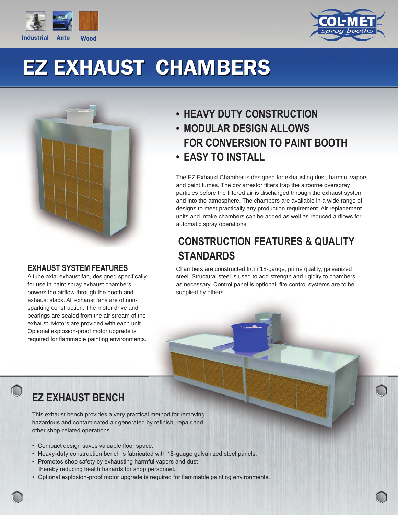



# EZ EXHAUST CHAMBERS



#### **EXHAUST SYSTEM FEATURES**

A tube axial exhaust fan, designed specifically for use in paint spray exhaust chambers, powers the airflow through the booth and exhaust stack. All exhaust fans are of nonsparking construction. The motor drive and bearings are sealed from the air stream of the exhaust. Motors are provided with each unit. Optional explosion-proof motor upgrade is required for flammable painting environments.

- **HEAVY DUTY CONSTRUCTION**
- **MODULAR DESIGN ALLOWS FOR CONVERSION TO PAINT BOOTH • EASY TO INSTALL**

The EZ Exhaust Chamber is designed for exhausting dust, harmful vapors and paint fumes. The dry arrestor filters trap the airborne overspray particles before the filtered air is discharged through the exhaust system and into the atmosphere. The chambers are available in a wide range of designs to meet practically any production requirement. Air replacement units and intake chambers can be added as well as reduced airflows for automatic spray operations.

#### **CONSTRUCTION FEATURES & QUALITY STANDARDS**

Chambers are constructed from 18-gauge, prime quality, galvanized steel. Structural steel is used to add strength and rigidity to chambers as necessary. Control panel is optional, fire control systems are to be supplied by others.

### **EZ EXHAUST BENCH**

This exhaust bench provides a very practical method for removing hazardous and contaminated air generated by refinish, repair and other shop-related operations.

- Compact design saves valuable floor space.
- Heavy-duty construction bench is fabricated with 18-gauge galvanized steel panels.
- Promotes shop safety by exhausting harmful vapors and dust thereby reducing health hazards for shop personnel.
- Optional explosion-proof motor upgrade is required for flammable painting environments.